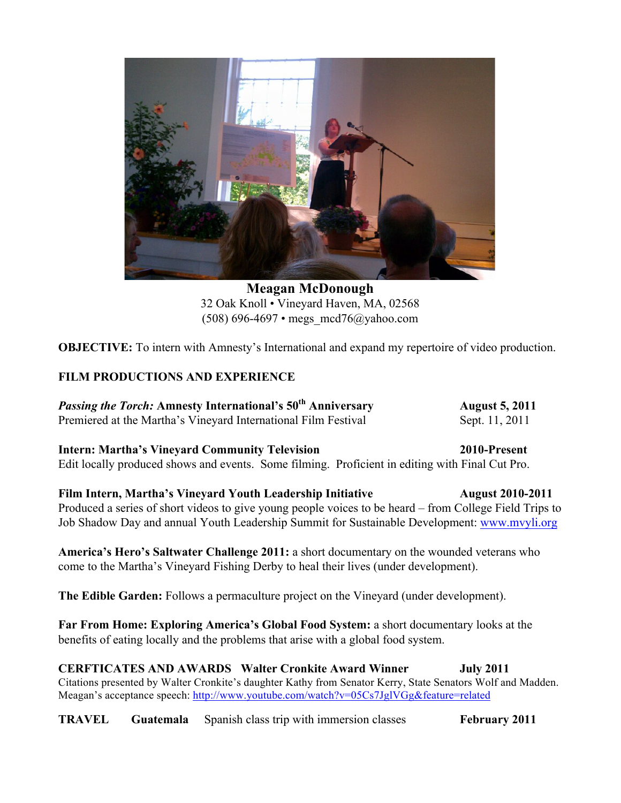

**Meagan McDonough** 32 Oak Knoll • Vineyard Haven, MA, 02568 (508) 696-4697 • megs  $\text{mcd76}(a)$ yahoo.com

**OBJECTIVE:** To intern with Amnesty's International and expand my repertoire of video production.

## **FILM PRODUCTIONS AND EXPERIENCE**

*Passing the Torch:* Amnesty International's 50<sup>th</sup> Anniversary **August 5, 2011** Premiered at the Martha's Vineyard International Film Festival Sept. 11, 2011

**Intern: Martha's Vineyard Community Television 2010-Present** Edit locally produced shows and events. Some filming. Proficient in editing with Final Cut Pro.

**Film Intern, Martha's Vineyard Youth Leadership Initiative <b>August 2010-2011** Produced a series of short videos to give young people voices to be heard – from College Field Trips to Job Shadow Day and annual Youth Leadership Summit for Sustainable Development: www.mvyli.org

**America's Hero's Saltwater Challenge 2011:** a short documentary on the wounded veterans who come to the Martha's Vineyard Fishing Derby to heal their lives (under development).

**The Edible Garden:** Follows a permaculture project on the Vineyard (under development).

**Far From Home: Exploring America's Global Food System:** a short documentary looks at the benefits of eating locally and the problems that arise with a global food system.

**CERFTICATES AND AWARDS Walter Cronkite Award Winner July 2011** Citations presented by Walter Cronkite's daughter Kathy from Senator Kerry, State Senators Wolf and Madden. Meagan's acceptance speech: http://www.youtube.com/watch?v=05Cs7JglVGg&feature=related

**TRAVEL Guatemala** Spanish class trip with immersion classes **February 2011**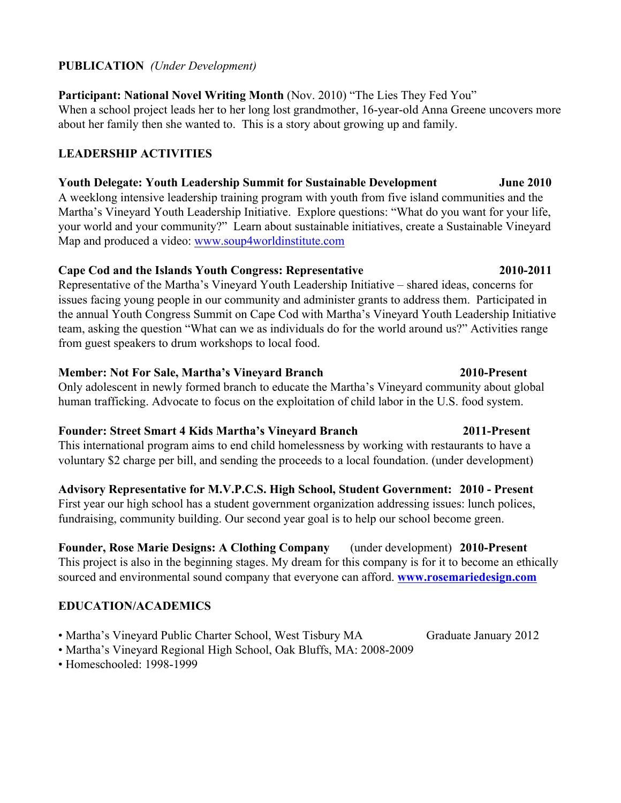## **PUBLICATION** *(Under Development)*

## **Participant: National Novel Writing Month** (Nov. 2010) "The Lies They Fed You"

When a school project leads her to her long lost grandmother, 16-year-old Anna Greene uncovers more about her family then she wanted to. This is a story about growing up and family.

# **LEADERSHIP ACTIVITIES**

# **Youth Delegate: Youth Leadership Summit for Sustainable Development June 2010**

A weeklong intensive leadership training program with youth from five island communities and the Martha's Vineyard Youth Leadership Initiative. Explore questions: "What do you want for your life, your world and your community?" Learn about sustainable initiatives, create a Sustainable Vineyard Map and produced a video: www.soup4worldinstitute.com

## **Cape Cod and the Islands Youth Congress: Representative 2010-2011**

Representative of the Martha's Vineyard Youth Leadership Initiative – shared ideas, concerns for issues facing young people in our community and administer grants to address them. Participated in the annual Youth Congress Summit on Cape Cod with Martha's Vineyard Youth Leadership Initiative team, asking the question "What can we as individuals do for the world around us?" Activities range from guest speakers to drum workshops to local food.

### **Member: Not For Sale, Martha's Vineyard Branch 2010-Present**

Only adolescent in newly formed branch to educate the Martha's Vineyard community about global human trafficking. Advocate to focus on the exploitation of child labor in the U.S. food system.

## **Founder: Street Smart 4 Kids Martha's Vineyard Branch 2011-Present**

This international program aims to end child homelessness by working with restaurants to have a voluntary \$2 charge per bill, and sending the proceeds to a local foundation. (under development)

# **Advisory Representative for M.V.P.C.S. High School, Student Government: 2010 - Present**

First year our high school has a student government organization addressing issues: lunch polices, fundraising, community building. Our second year goal is to help our school become green.

**Founder, Rose Marie Designs: A Clothing Company** (under development) **2010-Present** This project is also in the beginning stages. My dream for this company is for it to become an ethically sourced and environmental sound company that everyone can afford. **www.rosemariedesign.com**

# **EDUCATION/ACADEMICS**

- Martha's Vineyard Public Charter School, West Tisbury MA Graduate January 2012
- Martha's Vineyard Regional High School, Oak Bluffs, MA: 2008-2009
- Homeschooled: 1998-1999